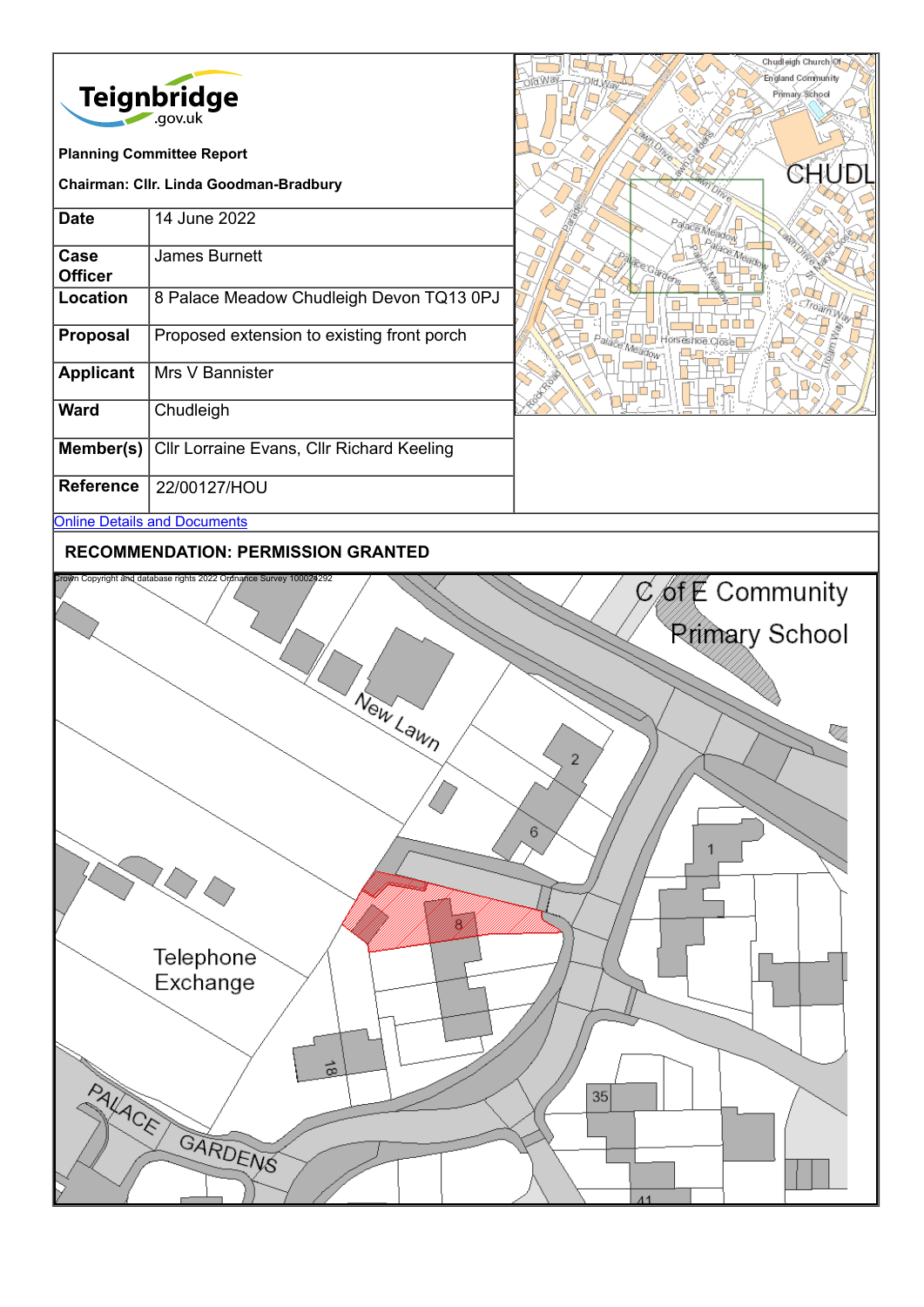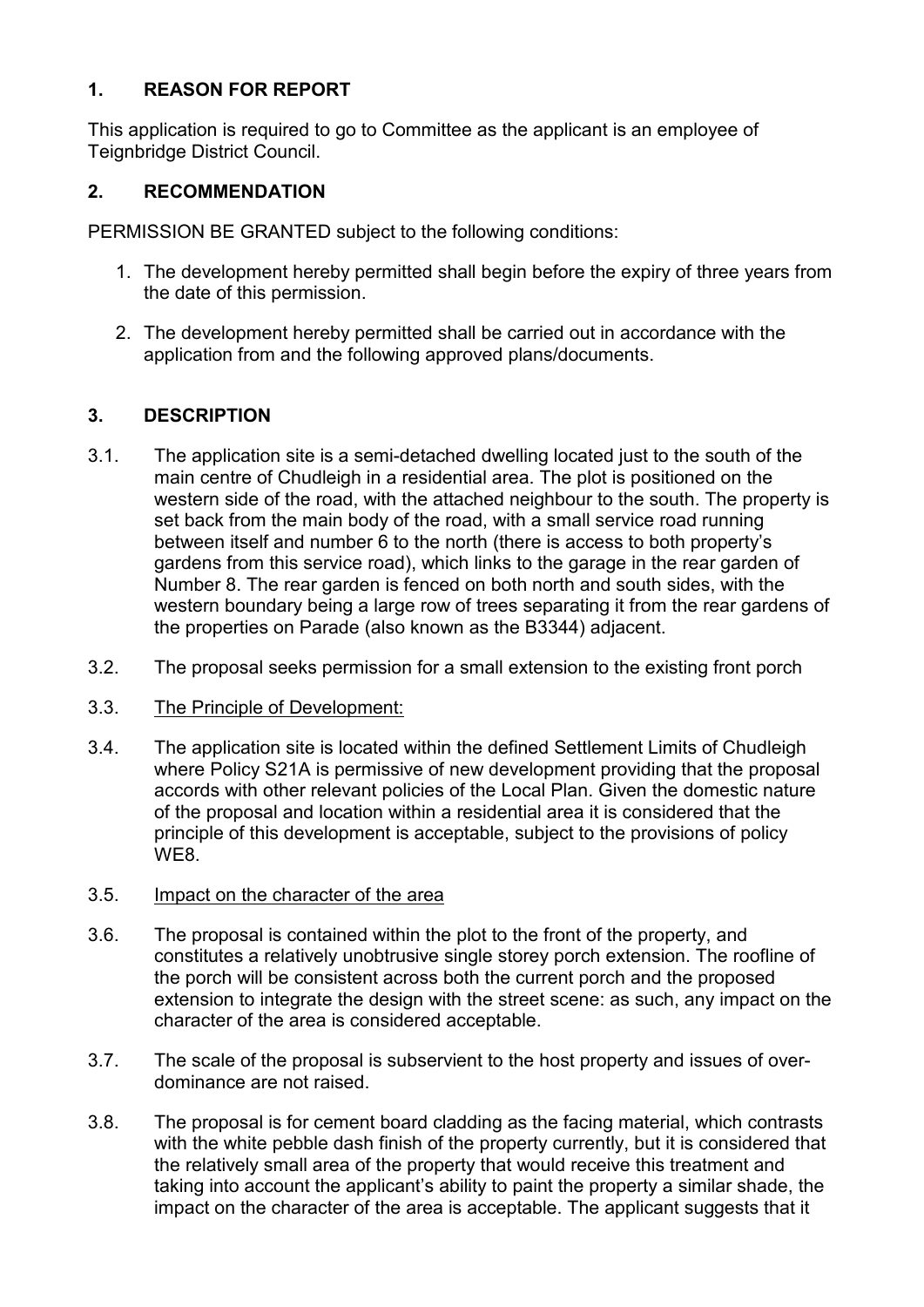# **1. REASON FOR REPORT**

This application is required to go to Committee as the applicant is an employee of Teignbridge District Council.

## **2. RECOMMENDATION**

PERMISSION BE GRANTED subject to the following conditions:

- 1. The development hereby permitted shall begin before the expiry of three years from the date of this permission.
- 2. The development hereby permitted shall be carried out in accordance with the application from and the following approved plans/documents.

# **3. DESCRIPTION**

- 3.1. The application site is a semi-detached dwelling located just to the south of the main centre of Chudleigh in a residential area. The plot is positioned on the western side of the road, with the attached neighbour to the south. The property is set back from the main body of the road, with a small service road running between itself and number 6 to the north (there is access to both property's gardens from this service road), which links to the garage in the rear garden of Number 8. The rear garden is fenced on both north and south sides, with the western boundary being a large row of trees separating it from the rear gardens of the properties on Parade (also known as the B3344) adjacent.
- 3.2. The proposal seeks permission for a small extension to the existing front porch
- 3.3. The Principle of Development:
- 3.4. The application site is located within the defined Settlement Limits of Chudleigh where Policy S21A is permissive of new development providing that the proposal accords with other relevant policies of the Local Plan. Given the domestic nature of the proposal and location within a residential area it is considered that the principle of this development is acceptable, subject to the provisions of policy WE8.
- 3.5. Impact on the character of the area
- 3.6. The proposal is contained within the plot to the front of the property, and constitutes a relatively unobtrusive single storey porch extension. The roofline of the porch will be consistent across both the current porch and the proposed extension to integrate the design with the street scene: as such, any impact on the character of the area is considered acceptable.
- 3.7. The scale of the proposal is subservient to the host property and issues of overdominance are not raised.
- 3.8. The proposal is for cement board cladding as the facing material, which contrasts with the white pebble dash finish of the property currently, but it is considered that the relatively small area of the property that would receive this treatment and taking into account the applicant's ability to paint the property a similar shade, the impact on the character of the area is acceptable. The applicant suggests that it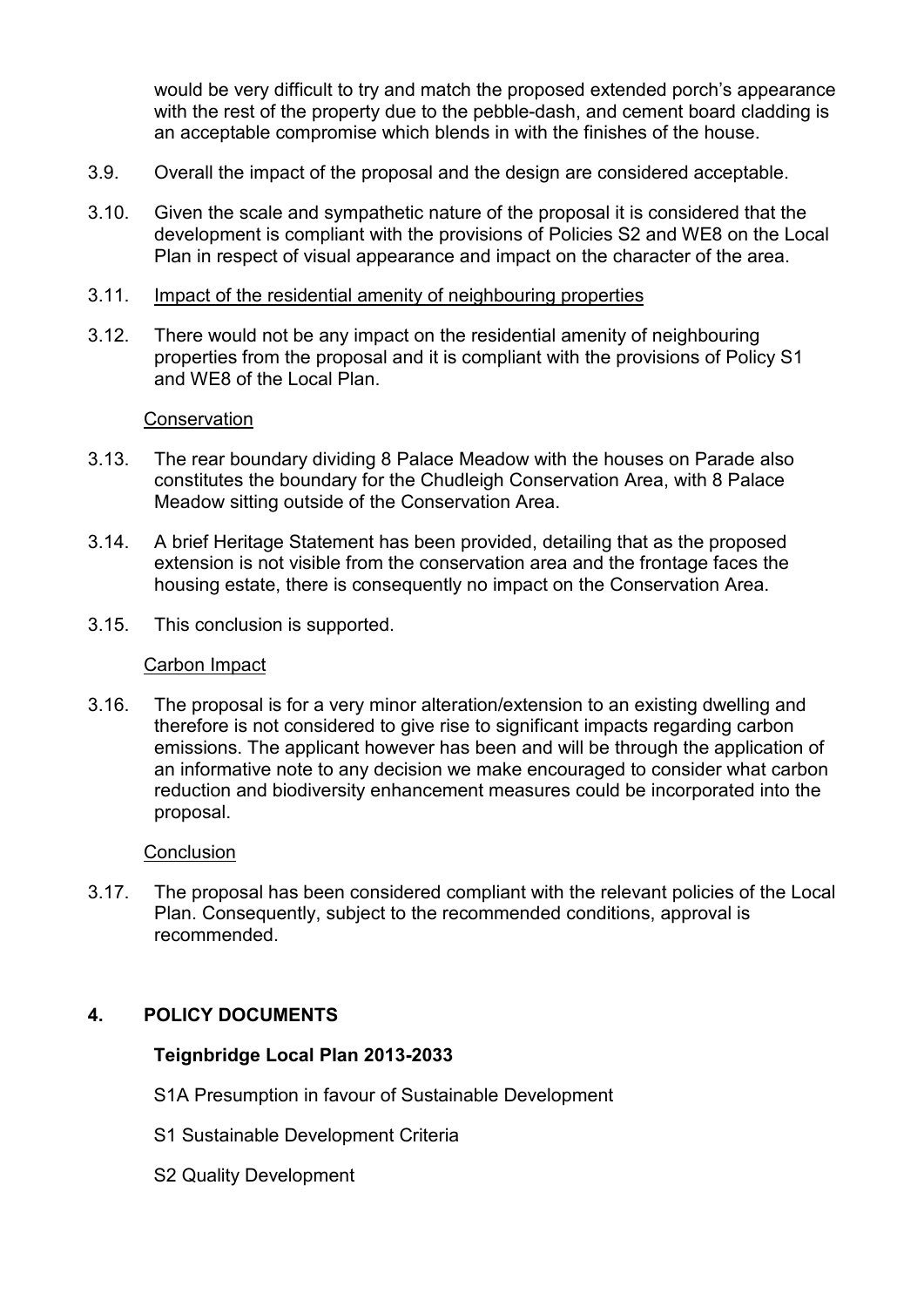would be very difficult to try and match the proposed extended porch's appearance with the rest of the property due to the pebble-dash, and cement board cladding is an acceptable compromise which blends in with the finishes of the house.

- 3.9. Overall the impact of the proposal and the design are considered acceptable.
- 3.10. Given the scale and sympathetic nature of the proposal it is considered that the development is compliant with the provisions of Policies S2 and WE8 on the Local Plan in respect of visual appearance and impact on the character of the area.
- 3.11. Impact of the residential amenity of neighbouring properties
- 3.12. There would not be any impact on the residential amenity of neighbouring properties from the proposal and it is compliant with the provisions of Policy S1 and WE8 of the Local Plan.

#### **Conservation**

- 3.13. The rear boundary dividing 8 Palace Meadow with the houses on Parade also constitutes the boundary for the Chudleigh Conservation Area, with 8 Palace Meadow sitting outside of the Conservation Area.
- 3.14. A brief Heritage Statement has been provided, detailing that as the proposed extension is not visible from the conservation area and the frontage faces the housing estate, there is consequently no impact on the Conservation Area.
- 3.15. This conclusion is supported.

#### Carbon Impact

3.16. The proposal is for a very minor alteration/extension to an existing dwelling and therefore is not considered to give rise to significant impacts regarding carbon emissions. The applicant however has been and will be through the application of an informative note to any decision we make encouraged to consider what carbon reduction and biodiversity enhancement measures could be incorporated into the proposal.

#### **Conclusion**

3.17. The proposal has been considered compliant with the relevant policies of the Local Plan. Consequently, subject to the recommended conditions, approval is recommended.

### **4. POLICY DOCUMENTS**

### **Teignbridge Local Plan 2013-2033**

- S1A Presumption in favour of Sustainable Development
- S1 Sustainable Development Criteria
- S2 Quality Development